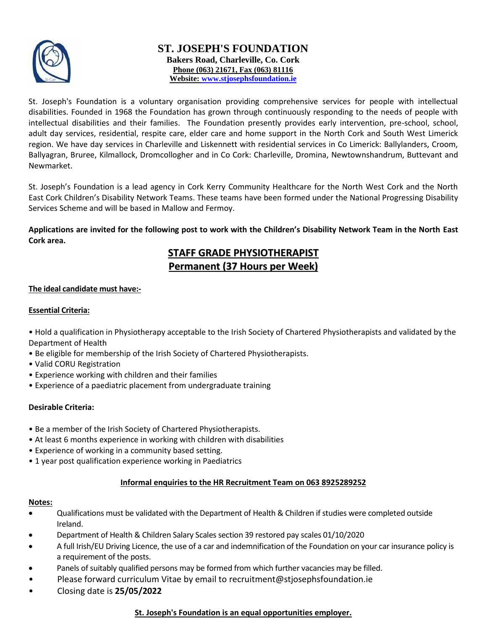

### **ST. JOSEPH'S FOUNDATION Bakers Road, Charleville, Co. Cork Phone (063) 21671, Fax (063) 81116 Website: [www.stjosephsfoundation.ie](http://www.stjosephsfoundation.ie/)**

St. Joseph's Foundation is a voluntary organisation providing comprehensive services for people with intellectual disabilities. Founded in 1968 the Foundation has grown through continuously responding to the needs of people with intellectual disabilities and their families. The Foundation presently provides early intervention, pre-school, school, adult day services, residential, respite care, elder care and home support in the North Cork and South West Limerick region. We have day services in Charleville and Liskennett with residential services in Co Limerick: Ballylanders, Croom, Ballyagran, Bruree, Kilmallock, Dromcollogher and in Co Cork: Charleville, Dromina, Newtownshandrum, Buttevant and Newmarket.

St. Joseph's Foundation is a lead agency in Cork Kerry Community Healthcare for the North West Cork and the North East Cork Children's Disability Network Teams. These teams have been formed under the National Progressing Disability Services Scheme and will be based in Mallow and Fermoy.

**Applications are invited for the following post to work with the Children's Disability Network Team in the North East Cork area.** 

## **STAFF GRADE PHYSIOTHERAPIST Permanent (37 Hours per Week)**

#### **The ideal candidate must have:-**

#### **Essential Criteria:**

- Hold a qualification in Physiotherapy acceptable to the Irish Society of Chartered Physiotherapists and validated by the Department of Health
- Be eligible for membership of the Irish Society of Chartered Physiotherapists.
- Valid CORU Registration
- Experience working with children and their families
- Experience of a paediatric placement from undergraduate training

#### **Desirable Criteria:**

- Be a member of the Irish Society of Chartered Physiotherapists.
- At least 6 months experience in working with children with disabilities
- Experience of working in a community based setting.
- 1 year post qualification experience working in Paediatrics

#### **Informal enquiries to the HR Recruitment Team on 063 8925289252**

#### **Notes:**

- Qualifications must be validated with the Department of Health & Children if studies were completed outside Ireland.
- Department of Health & Children Salary Scales section 39 restored pay scales 01/10/2020
- A full Irish/EU Driving Licence, the use of a car and indemnification of the Foundation on your car insurance policy is a requirement of the posts.
- Panels of suitably qualified persons may be formed from which further vacancies may be filled.
- Please forward curriculum Vitae by email to recruitment@stjosephsfoundation.ie
- Closing date is **25/05/2022**

#### **St. Joseph's Foundation is an equal opportunities employer.**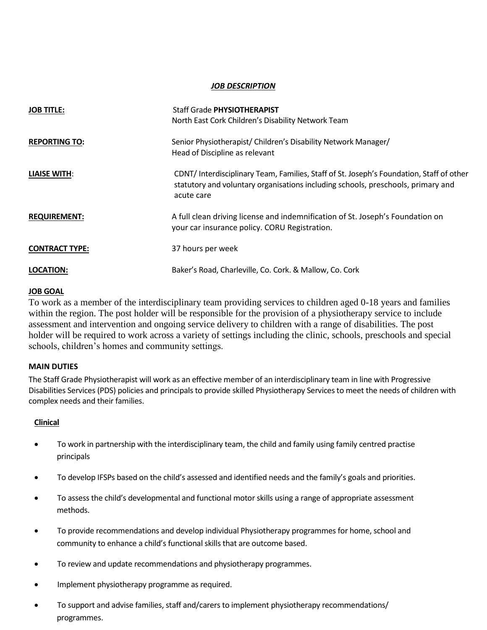#### *JOB DESCRIPTION*

| <b>JOB TITLE:</b>     | <b>Staff Grade PHYSIOTHERAPIST</b>                                                                                                                                                        |  |
|-----------------------|-------------------------------------------------------------------------------------------------------------------------------------------------------------------------------------------|--|
|                       | North East Cork Children's Disability Network Team                                                                                                                                        |  |
| <b>REPORTING TO:</b>  | Senior Physiotherapist/ Children's Disability Network Manager/                                                                                                                            |  |
|                       | Head of Discipline as relevant                                                                                                                                                            |  |
| <b>LIAISE WITH:</b>   | CDNT/Interdisciplinary Team, Families, Staff of St. Joseph's Foundation, Staff of other<br>statutory and voluntary organisations including schools, preschools, primary and<br>acute care |  |
| <b>REQUIREMENT:</b>   | A full clean driving license and indemnification of St. Joseph's Foundation on<br>your car insurance policy. CORU Registration.                                                           |  |
| <b>CONTRACT TYPE:</b> | 37 hours per week                                                                                                                                                                         |  |
| LOCATION:             | Baker's Road, Charleville, Co. Cork. & Mallow, Co. Cork                                                                                                                                   |  |

#### **JOB GOAL**

To work as a member of the interdisciplinary team providing services to children aged 0-18 years and families within the region. The post holder will be responsible for the provision of a physiotherapy service to include assessment and intervention and ongoing service delivery to children with a range of disabilities. The post holder will be required to work across a variety of settings including the clinic, schools, preschools and special schools, children's homes and community settings.

#### **MAIN DUTIES**

The Staff Grade Physiotherapist will work as an effective member of an interdisciplinary team in line with Progressive Disabilities Services (PDS) policies and principals to provide skilled Physiotherapy Services to meet the needs of children with complex needs and their families.

#### **Clinical**

- To work in partnership with the interdisciplinary team, the child and family using family centred practise principals
- To develop IFSPs based on the child's assessed and identified needs and the family's goals and priorities.
- To assess the child's developmental and functional motor skills using a range of appropriate assessment methods.
- To provide recommendations and develop individual Physiotherapy programmes for home, school and community to enhance a child's functional skills that are outcome based.
- To review and update recommendations and physiotherapy programmes.
- Implement physiotherapy programme as required.
- To support and advise families, staff and/carers to implement physiotherapy recommendations/ programmes.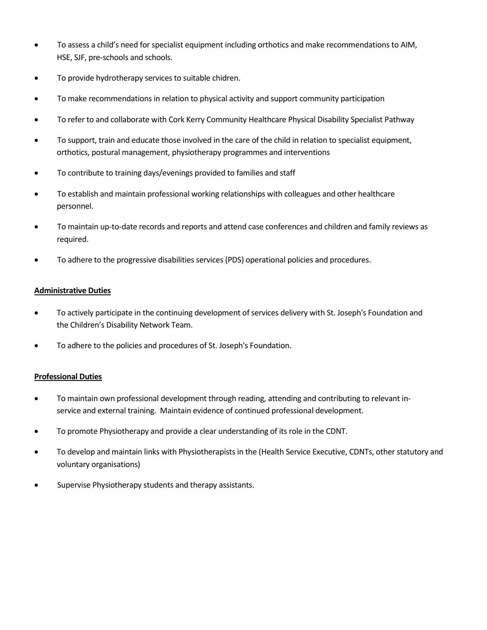- To assess a child's need for specialist equipment including orthotics and make recommendations to AIM, HSE, SJF, pre-schools and schools.
- To provide hydrotherapy services to suitable chidren.
- To make recommendations in relation to physical activity and support community participation
- To refer to and collaborate with Cork Kerry Community Healthcare Physical Disability Specialist Pathway
- To support, train and educate those involved in the care of the child in relation to specialist equipment, orthotics, postural management, physiotherapy programmes and interventions
- To contribute to training days/evenings provided to families and staff
- To establish and maintain professional working relationships with colleagues and other healthcare personnel.
- To maintain up-to-date records and reports and attend case conferences and children and family reviews as required.
- To adhere to the progressive disabilities services (PDS) operational policies and procedures.

#### **Administrative Duties**

- To actively participate in the continuing development of services delivery with St. Joseph's Foundation and the Children's Disability Network Team.
- To adhere to the policies and procedures of St. Joseph's Foundation.

#### **Professional Duties**

- To maintain own professional development through reading, attending and contributing to relevant inservice and external training. Maintain evidence of continued professional development.
- To promote Physiotherapy and provide a clear understanding of its role in the CDNT.
- To develop and maintain links with Physiotherapists in the (Health Service Executive, CDNTs, other statutory and voluntary organisations)
- Supervise Physiotherapy students and therapy assistants.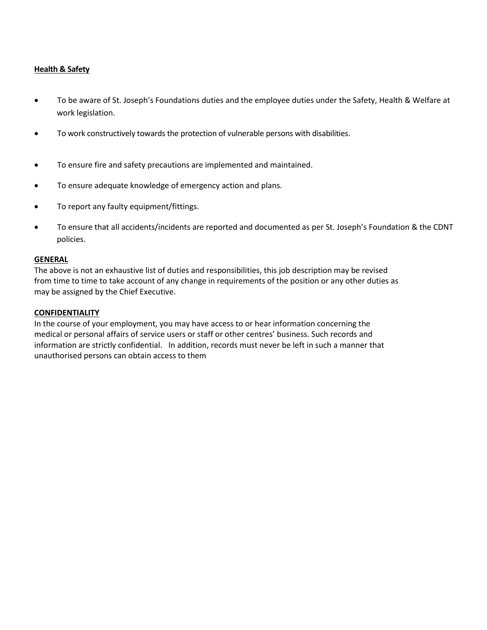#### **Health & Safety**

- To be aware of St. Joseph's Foundations duties and the employee duties under the Safety, Health & Welfare at work legislation.
- To work constructively towards the protection of vulnerable persons with disabilities.
- To ensure fire and safety precautions are implemented and maintained.
- To ensure adequate knowledge of emergency action and plans.
- To report any faulty equipment/fittings.
- To ensure that all accidents/incidents are reported and documented as per St. Joseph's Foundation & the CDNT policies.

#### **GENERAL**

The above is not an exhaustive list of duties and responsibilities, this job description may be revised from time to time to take account of any change in requirements of the position or any other duties as may be assigned by the Chief Executive.

#### **CONFIDENTIALITY**

In the course of your employment, you may have access to or hear information concerning the medical or personal affairs of service users or staff or other centres' business. Such records and information are strictly confidential. In addition, records must never be left in such a manner that unauthorised persons can obtain access to them